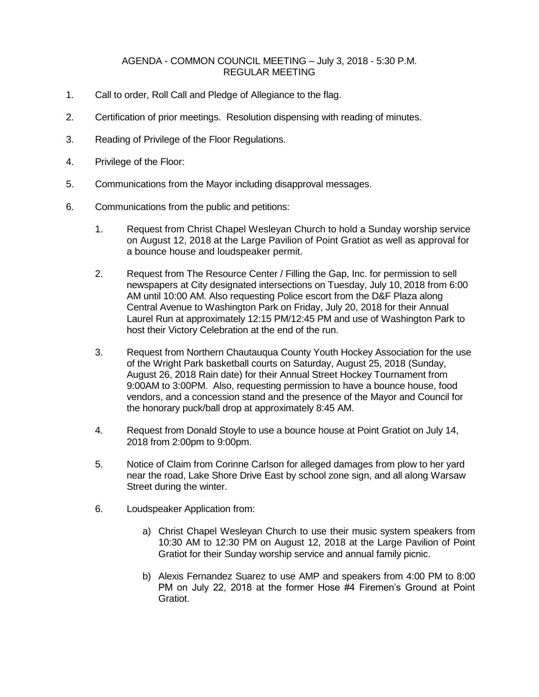## AGENDA - COMMON COUNCIL MEETING – July 3, 2018 - 5:30 P.M. REGULAR MEETING

- 1. Call to order, Roll Call and Pledge of Allegiance to the flag.
- 2. Certification of prior meetings. Resolution dispensing with reading of minutes.
- 3. Reading of Privilege of the Floor Regulations.
- 4. Privilege of the Floor:
- 5. Communications from the Mayor including disapproval messages.
- 6. Communications from the public and petitions:
	- 1. Request from Christ Chapel Wesleyan Church to hold a Sunday worship service on August 12, 2018 at the Large Pavilion of Point Gratiot as well as approval for a bounce house and loudspeaker permit.
	- 2. Request from The Resource Center / Filling the Gap, Inc. for permission to sell newspapers at City designated intersections on Tuesday, July 10, 2018 from 6:00 AM until 10:00 AM. Also requesting Police escort from the D&F Plaza along Central Avenue to Washington Park on Friday, July 20, 2018 for their Annual Laurel Run at approximately 12:15 PM/12:45 PM and use of Washington Park to host their Victory Celebration at the end of the run.
	- 3. Request from Northern Chautauqua County Youth Hockey Association for the use of the Wright Park basketball courts on Saturday, August 25, 2018 (Sunday, August 26, 2018 Rain date) for their Annual Street Hockey Tournament from 9:00AM to 3:00PM. Also, requesting permission to have a bounce house, food vendors, and a concession stand and the presence of the Mayor and Council for the honorary puck/ball drop at approximately 8:45 AM.
	- 4. Request from Donald Stoyle to use a bounce house at Point Gratiot on July 14, 2018 from 2:00pm to 9:00pm.
	- 5. Notice of Claim from Corinne Carlson for alleged damages from plow to her yard near the road, Lake Shore Drive East by school zone sign, and all along Warsaw Street during the winter.
	- 6. Loudspeaker Application from:
		- a) Christ Chapel Wesleyan Church to use their music system speakers from 10:30 AM to 12:30 PM on August 12, 2018 at the Large Pavilion of Point Gratiot for their Sunday worship service and annual family picnic.
		- b) Alexis Fernandez Suarez to use AMP and speakers from 4:00 PM to 8:00 PM on July 22, 2018 at the former Hose #4 Firemen's Ground at Point Gratiot.